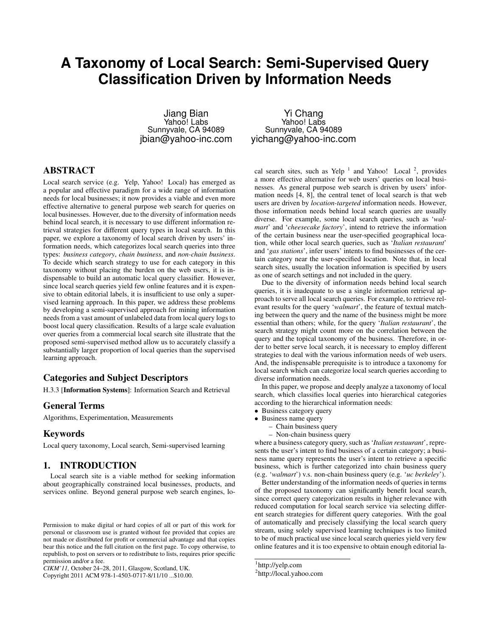# **A Taxonomy of Local Search: Semi-Supervised Query Classification Driven by Information Needs**

Jiang Bian Yahoo! Labs Sunnyvale, CA 94089 jbian@yahoo-inc.com

ABSTRACT

Local search service (e.g. Yelp, Yahoo! Local) has emerged as a popular and effective paradigm for a wide range of information needs for local businesses; it now provides a viable and even more effective alternative to general purpose web search for queries on local businesses. However, due to the diversity of information needs behind local search, it is necessary to use different information retrieval strategies for different query types in local search. In this paper, we explore a taxonomy of local search driven by users' information needs, which categorizes local search queries into three types: *business category*, *chain business*, and *non-chain business*. To decide which search strategy to use for each category in this taxonomy without placing the burden on the web users, it is indispensable to build an automatic local query classifier. However, since local search queries yield few online features and it is expensive to obtain editorial labels, it is insufficient to use only a supervised learning approach. In this paper, we address these problems by developing a semi-supervised approach for mining information needs from a vast amount of unlabeled data from local query logs to boost local query classification. Results of a large scale evaluation over queries from a commercial local search site illustrate that the proposed semi-supervised method allow us to accurately classify a substantially larger proportion of local queries than the supervised learning approach.

# Categories and Subject Descriptors

H.3.3 [Information Systems]: Information Search and Retrieval

# General Terms

Algorithms, Experimentation, Measurements

### Keywords

Local query taxonomy, Local search, Semi-supervised learning

# 1. INTRODUCTION

Local search site is a viable method for seeking information about geographically constrained local businesses, products, and services online. Beyond general purpose web search engines, lo-

Copyright 2011 ACM 978-1-4503-0717-8/11/10 ...\$10.00.

Yi Chang Yahoo! Labs Sunnyvale, CA 94089 yichang@yahoo-inc.com

cal search sites, such as Yelp<sup>1</sup> and Yahoo! Local<sup>2</sup>, provides a more effective alternative for web users' queries on local businesses. As general purpose web search is driven by users' information needs [4, 8], the central tenet of local search is that web users are driven by *location-targeted* information needs. However, those information needs behind local search queries are usually diverse. For example, some local search queries, such as '*walmart*' and '*cheesecake factory*', intend to retrieve the information of the certain business near the user-specified geographical location, while other local search queries, such as '*Italian restaurant*' and '*gas stations*', infer users' intents to find businesses of the certain category near the user-specified location. Note that, in local search sites, usually the location information is specified by users as one of search settings and not included in the query.

Due to the diversity of information needs behind local search queries, it is inadequate to use a single information retrieval approach to serve all local search queries. For example, to retrieve relevant results for the query '*walmart*', the feature of textual matching between the query and the name of the business might be more essential than others; while, for the query '*Italian restaurant*', the search strategy might count more on the correlation between the query and the topical taxonomy of the business. Therefore, in order to better serve local search, it is necessary to employ different strategies to deal with the various information needs of web users. And, the indispensable prerequisite is to introduce a taxonomy for local search which can categorize local search queries according to diverse information needs.

In this paper, we propose and deeply analyze a taxonomy of local search, which classifies local queries into hierarchical categories according to the hierarchical information needs:

- *•* Business category query
- *•* Business name query
	- Chain business query
	- Non-chain business query

where a business category query, such as '*Italian restaurant*', represents the user's intent to find business of a certain category; a business name query represents the user's intent to retrieve a specific business, which is further categorized into chain business query (e.g. '*walmart*') v.s. non-chain business query (e.g. '*uc berkeley*').

Better understanding of the information needs of queries in terms of the proposed taxonomy can significantly benefit local search, since correct query categorization results in higher relevance with reduced computation for local search service via selecting different search strategies for different query categories. With the goal of automatically and precisely classifying the local search query stream, using solely supervised learning techniques is too limited to be of much practical use since local search queries yield very few online features and it is too expensive to obtain enough editorial la-

Permission to make digital or hard copies of all or part of this work for personal or classroom use is granted without fee provided that copies are not made or distributed for profit or commercial advantage and that copies bear this notice and the full citation on the first page. To copy otherwise, to republish, to post on servers or to redistribute to lists, requires prior specific permission and/or a fee.

*CIKM'11,* October 24–28, 2011, Glasgow, Scotland, UK.

<sup>1</sup> http://yelp.com

<sup>&</sup>lt;sup>2</sup>http://local.yahoo.com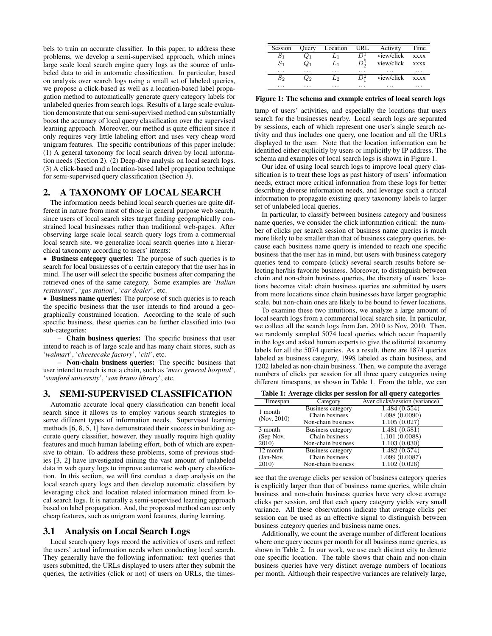bels to train an accurate classifier. In this paper, to address these problems, we develop a semi-supervised approach, which mines large scale local search engine query logs as the source of unlabeled data to aid in automatic classification. In particular, based on analysis over search logs using a small set of labeled queries, we propose a click-based as well as a location-based label propagation method to automatically generate query category labels for unlabeled queries from search logs. Results of a large scale evaluation demonstrate that our semi-supervised method can substantially boost the accuracy of local query classification over the supervised learning approach. Moreover, our method is quite efficient since it only requires very little labeling effort and uses very cheap word unigram features. The specific contributions of this paper include: (1) A general taxonomy for local search driven by local information needs (Section 2). (2) Deep-dive analysis on local search logs. (3) A click-based and a location-based label propagation technique for semi-supervised query classification (Section 3).

# 2. A TAXONOMY OF LOCAL SEARCH

The information needs behind local search queries are quite different in nature from most of those in general purpose web search, since users of local search sites target finding geographically constrained local businesses rather than traditional web-pages. After observing large scale local search query logs from a commercial local search site, we generalize local search queries into a hierarchical taxonomy according to users' intents:

*•* Business category queries: The purpose of such queries is to search for local businesses of a certain category that the user has in mind. The user will select the specific business after comparing the retrieved ones of the same category. Some examples are '*Italian restaurant*', '*gas station*', '*car dealer*', etc.

• Business name queries: The purpose of such queries is to reach the specific business that the user intends to find around a geographically constrained location. According to the scale of such specific business, these queries can be further classified into two sub-categories:

– Chain business queries: The specific business that user intend to reach is of large scale and has many chain stores, such as '*walmart*', '*cheesecake factory*', '*citi*', etc.

– Non-chain business queries: The specific business that user intend to reach is not a chain, such as '*mass general hospital*', '*stanford university*', '*san bruno library*', etc.

#### 3. SEMI-SUPERVISED CLASSIFICATION

Automatic accurate local query classification can benefit local search since it allows us to employ various search strategies to serve different types of information needs. Supervised learning methods [6, 8, 5, 1] have demonstrated their success in building accurate query classifier, however, they usually require high quality features and much human labeling effort, both of which are expensive to obtain. To address these problems, some of previous studies [3, 2] have investigated mining the vast amount of unlabeled data in web query logs to improve automatic web query classification. In this section, we will first conduct a deep analysis on the local search query logs and then develop automatic classifiers by leveraging click and location related information mined from local search logs. It is naturally a semi-supervised learning approach based on label propagation. And, the proposed method can use only cheap features, such as unigram word features, during learning.

### 3.1 Analysis on Local Search Logs

Local search query logs record the activities of users and reflect the users' actual information needs when conducting local search. They generally have the following information: text queries that users submitted, the URLs displayed to users after they submit the queries, the activities (click or not) of users on URLs, the times-

| Session        | Ouery    | Location | URL     | Activity   | Time        |
|----------------|----------|----------|---------|------------|-------------|
| $\mathcal{D}1$ | Q/ 1     | L٦       |         | view/click | <b>XXXX</b> |
| $S_1$          | W 1      | $L_1$    |         | view/click | <b>XXXX</b> |
| .              | $\cdots$ | $\cdots$ | $\cdot$ | $\cdots$   | .           |
| $S_2$          | しっ       | L2       |         | view/click | <b>XXXX</b> |
| .              | .        | .        | .       | .          | .           |

Figure 1: The schema and example entries of local search logs

tamp of users' activities, and especially the locations that users search for the businesses nearby. Local search logs are separated by sessions, each of which represent one user's single search activity and thus includes one query, one location and all the URLs displayed to the user. Note that the location information can be identified either explicitly by users or implicitly by IP address. The schema and examples of local search logs is shown in Figure 1.

Our idea of using local search logs to improve local query classification is to treat these logs as past history of users' information needs, extract more critical information from these logs for better describing diverse information needs, and leverage such a critical information to propagate existing query taxonomy labels to larger set of unlabeled local queries.

In particular, to classify between business category and business name queries, we consider the click information critical: the number of clicks per search session of business name queries is much more likely to be smaller than that of business category queries, because each business name query is intended to reach one specific business that the user has in mind, but users with business category queries tend to compare (click) several search results before selecting her/his favorite business. Moreover, to distinguish between chain and non-chain business queries, the diversity of users' locations becomes vital: chain business queries are submitted by users from more locations since chain businesses have larger geographic scale, but non-chain ones are likely to be bound to fewer locations.

To examine these two intuitions, we analyze a large amount of local search logs from a commercial local search site. In particular, we collect all the search logs from Jan, 2010 to Nov, 2010. Then, we randomly sampled 5074 local queries which occur frequently in the logs and asked human experts to give the editorial taxonomy labels for all the 5074 queries. As a result, there are 1874 queries labeled as business category, 1998 labeled as chain business, and 1202 labeled as non-chain business. Then, we compute the average numbers of clicks per session for all three query categories using different timespans, as shown in Table 1. From the table, we can

| Table 1. Average cheks per session for an query categories |                          |                                |  |  |  |  |  |
|------------------------------------------------------------|--------------------------|--------------------------------|--|--|--|--|--|
| Timespan                                                   | Category                 | Aver clicks/session (variance) |  |  |  |  |  |
| 1 month                                                    | Business category        | 1.484(0.554)                   |  |  |  |  |  |
| (Nov. $2010$ )                                             | Chain business           | 1.098(0.0090)                  |  |  |  |  |  |
|                                                            | Non-chain business       | 1.105(0.027)                   |  |  |  |  |  |
| 3 month                                                    | <b>Business</b> category | 1.481(0.581)                   |  |  |  |  |  |
| (Sep-Nov,                                                  | Chain business           | 1.101(0.0088)                  |  |  |  |  |  |
| 2010)                                                      | Non-chain business       | 1.103(0.030)                   |  |  |  |  |  |
| 12 month                                                   | Business category        | 1.482(0.574)                   |  |  |  |  |  |
| Chain business<br>(Jan-Nov.                                |                          | 1.099(0.0087)                  |  |  |  |  |  |
| 2010)                                                      | Non-chain business       | 1.102(0.026)                   |  |  |  |  |  |

Table 1: Average clicks per session for all query categories

see that the average clicks per session of business category queries is explicitly larger than that of business name queries, while chain business and non-chain business queries have very close average clicks per session, and that each query category yields very small variance. All these observations indicate that average clicks per session can be used as an effective signal to distinguish between business category queries and business name ones.

Additionally, we count the average number of different locations where one query occurs per month for all business name queries, as shown in Table 2. In our work, we use each distinct city to denote one specific location. The table shows that chain and non-chain business queries have very distinct average numbers of locations per month. Although their respective variances are relatively large,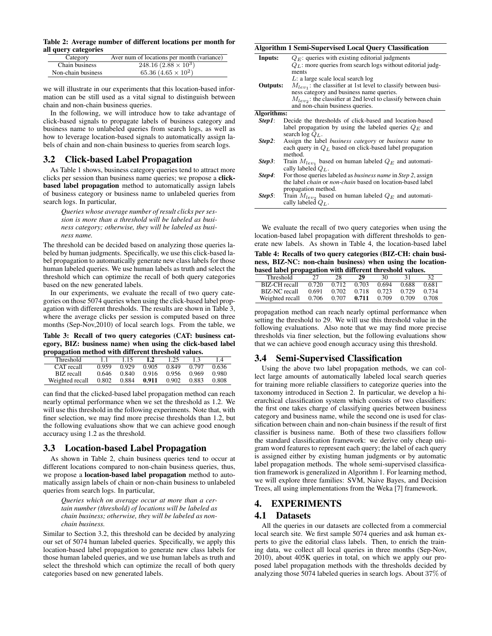Table 2: Average number of different locations per month for all query categories

| Category |                    | Aver num of locations per month (variance) |
|----------|--------------------|--------------------------------------------|
|          | Chain business     | $248.16(2.88\times10^3)$                   |
|          | Non-chain business | 65.36 $(4.65 \times 10^2)$                 |

we will illustrate in our experiments that this location-based information can be still used as a vital signal to distinguish between chain and non-chain business queries.

In the following, we will introduce how to take advantage of click-based signals to propagate labels of business category and business name to unlabeled queries from search logs, as well as how to leverage location-based signals to automatically assign labels of chain and non-chain business to queries from search logs.

# 3.2 Click-based Label Propagation

As Table 1 shows, business category queries tend to attract more clicks per session than business name queries; we propose a clickbased label propagation method to automatically assign labels of business category or business name to unlabeled queries from search logs. In particular,

*Queries whose average number of result clicks per session is more than a threshold will be labeled as business category; otherwise, they will be labeled as business name.*

The threshold can be decided based on analyzing those queries labeled by human judgments. Specifically, we use this click-based label propagation to automatically generate new class labels for those human labeled queries. We use human labels as truth and select the threshold which can optimize the recall of both query categories based on the new generated labels.

In our experiments, we evaluate the recall of two query categories on those 5074 queries when using the click-based label propagation with different thresholds. The results are shown in Table 3, where the average clicks per session is computed based on three months (Sep-Nov,2010) of local search logs. From the table, we

Table 3: Recall of two query categories (CAT: business category, BIZ: business name) when using the click-based label propagation method with different threshold values.

| Threshold       | 11          | 115   | 1.2                           | 125   | 13    | 14    |
|-----------------|-------------|-------|-------------------------------|-------|-------|-------|
| CAT recall      | 0.959       |       | 0.929 0.905 0.849 0.797 0.636 |       |       |       |
| BIZ recall      | 0.646       | 0.840 | 0.916                         | 0.956 | 0.969 | 0.980 |
| Weighted recall | 0.802 0.884 |       | 0.911                         | 0.902 | 0.883 | 0.808 |

can find that the clicked-based label propagation method can reach nearly optimal performance when we set the threshold as 1.2. We will use this threshold in the following experiments. Note that, with finer selection, we may find more precise thresholds than 1.2, but the following evaluations show that we can achieve good enough accuracy using 1.2 as the threshold.

# 3.3 Location-based Label Propagation

As shown in Table 2, chain business queries tend to occur at different locations compared to non-chain business queries, thus, we propose a location-based label propagation method to automatically assign labels of chain or non-chain business to unlabeled queries from search logs. In particular,

*Queries which on average occur at more than a certain number (threshold) of locations will be labeled as chain business; otherwise, they will be labeled as nonchain business.*

Similar to Section 3.2, this threshold can be decided by analyzing our set of 5074 human labeled queries. Specifically, we apply this location-based label propagation to generate new class labels for those human labeled queries, and we use human labels as truth and select the threshold which can optimize the recall of both query categories based on new generated labels.

#### Algorithm 1 Semi-Supervised Local Query Classification

| Inputs:     | $Q_E$ : queries with existing editorial judgments                           |  |  |  |  |
|-------------|-----------------------------------------------------------------------------|--|--|--|--|
|             | $Q_L$ : more queries from search logs without editorial judg-               |  |  |  |  |
|             | ments                                                                       |  |  |  |  |
|             | $L$ : a large scale local search log                                        |  |  |  |  |
| Outputs:    | $M_{lev_1}$ : the classifier at 1st level to classify between busi-         |  |  |  |  |
|             | ness category and business name queries.                                    |  |  |  |  |
|             | $M_{lev_2}$ : the classifier at 2nd level to classify between chain         |  |  |  |  |
|             | and non-chain business queries.                                             |  |  |  |  |
| Algorithms: |                                                                             |  |  |  |  |
| Step1:      | Decide the thresholds of click-based and location-based                     |  |  |  |  |
|             | label propagation by using the labeled queries $Q_E$ and                    |  |  |  |  |
|             | search $\log Q_L$ .                                                         |  |  |  |  |
| Step 2:     | Assign the label <i>business category</i> or <i>business name</i> to        |  |  |  |  |
|             | each query in $Q_L$ based on click-based label propagation                  |  |  |  |  |
|             | method.                                                                     |  |  |  |  |
| Step3:      | Train $M_{lev_1}$ based on human labeled $Q_E$ and automati-                |  |  |  |  |
|             | cally labeled $Q_L$ .                                                       |  |  |  |  |
| Step 4:     | For those queries labeled as <i>business name</i> in <i>Step 2</i> , assign |  |  |  |  |
|             |                                                                             |  |  |  |  |
|             | the label <i>chain</i> or <i>non-chain</i> based on location-based label    |  |  |  |  |
|             | propagation method.                                                         |  |  |  |  |
| Step5:      | Train $M_{levo}$ based on human labeled $Q_E$ and automati-                 |  |  |  |  |
|             | cally labeled $Q_L$ .                                                       |  |  |  |  |

We evaluate the recall of two query categories when using the location-based label propagation with different thresholds to generate new labels. As shown in Table 4, the location-based label

Table 4: Recalls of two query categories (BIZ-CH: chain business, BIZ-NC: non-chain business) when using the locationbased label propagation with different threshold values.

| Threshold       | 27    | 28    | 29    | 30    | 31    | 32    |
|-----------------|-------|-------|-------|-------|-------|-------|
| BIZ-CH recall   | 0.720 | 0.712 | 0.703 | 0.694 | 0.688 | 0.681 |
| BIZ-NC recall   | 0.691 | 0.702 | 0.718 | 0.723 | 0.729 | 0.734 |
| Weighted recall | 0.706 | 0.707 | 0.711 | 0.709 | 0.709 | 0.708 |

propagation method can reach nearly optimal performance when setting the threshold to 29. We will use this threshold value in the following evaluations. Also note that we may find more precise thresholds via finer selection, but the following evaluations show that we can achieve good enough accuracy using this threshold.

# 3.4 Semi-Supervised Classification

Using the above two label propagation methods, we can collect large amounts of automatically labeled local search queries for training more reliable classifiers to categorize queries into the taxonomy introduced in Section 2. In particular, we develop a hierarchical classification system which consists of two classifiers: the first one takes charge of classifying queries between business category and business name, while the second one is used for classification between chain and non-chain business if the result of first classifier is business name. Both of these two classifiers follow the standard classification framework: we derive only cheap unigram word features to represent each query; the label of each query is assigned either by existing human judgments or by automatic label propagation methods. The whole semi-supervised classification framework is generalized in Algorithm 1. For learning method, we will explore three families: SVM, Naive Bayes, and Decision Trees, all using implementations from the Weka [7] framework.

# 4. EXPERIMENTS

#### 4.1 Datasets

All the queries in our datasets are collected from a commercial local search site. We first sample 5074 queries and ask human experts to give the editorial class labels. Then, to enrich the training data, we collect all local queries in three months (Sep-Nov, 2010), about 405K queries in total, on which we apply our proposed label propagation methods with the thresholds decided by analyzing those 5074 labeled queries in search logs. About 37% of